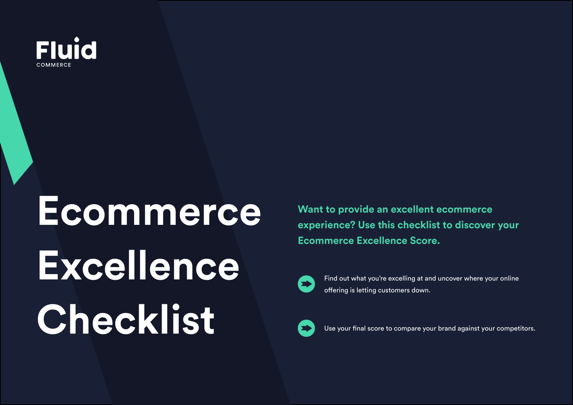

# **Ecommerce Excellence Checklist**

**Want to provide an excellent ecommerce experience? Use this checklist to discover your Ecommerce Excellence Score.**



Find out what you're excelling at and uncover where your online offering is letting customers down.



Use your final score to compare your brand against your competitors.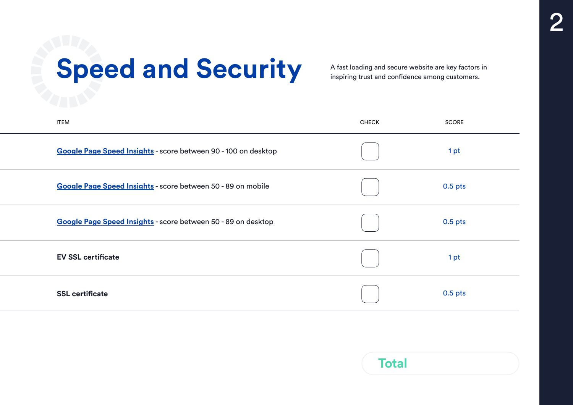## Speed and Security A fast loading and secure website are key factors in

inspiring trust and confidence among customers.

| <b>ITEM</b>                                                    | <b>CHECK</b> | <b>SCORE</b> |
|----------------------------------------------------------------|--------------|--------------|
| Google Page Speed Insights - score between 90 - 100 on desktop |              | 1pt          |
| Google Page Speed Insights - score between 50 - 89 on mobile   |              | $0.5$ pts    |
| Google Page Speed Insights - score between 50 - 89 on desktop  |              | $0.5$ pts    |
| <b>EV SSL certificate</b>                                      |              | 1pt          |
| <b>SSL certificate</b>                                         |              | $0.5$ pts    |

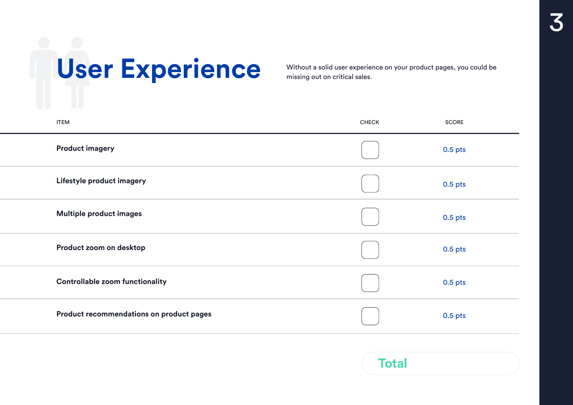# Without a solid user experience on your product pages, you could be missing out on critical sales.

missing out on critical sales.

| <b>ITEM</b>                              | <b>CHECK</b> | <b>SCORE</b> |
|------------------------------------------|--------------|--------------|
| <b>Product imagery</b>                   |              | 0.5 pts      |
| Lifestyle product imagery                |              | 0.5 pts      |
| Multiple product images                  |              | 0.5 pts      |
| Product zoom on desktop                  |              | $0.5$ pts    |
| <b>Controllable zoom functionality</b>   |              | 0.5 pts      |
| Product recommendations on product pages |              | $0.5$ pts    |
|                                          |              |              |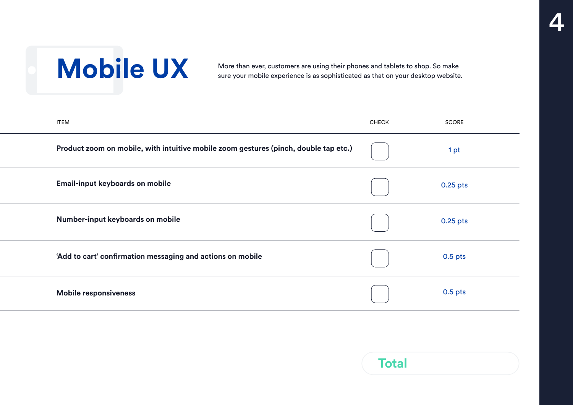Mobile UX More than ever, customers are using their phones and tablets to shop. So make<br>sure your mobile experience is as sophisticated as that on your desktop website sure your mobile experience is as sophisticated as that on your desktop website.

| <b>ITEM</b>                                                |                                                                                      | <b>CHECK</b> | <b>SCORE</b> |
|------------------------------------------------------------|--------------------------------------------------------------------------------------|--------------|--------------|
|                                                            | Product zoom on mobile, with intuitive mobile zoom gestures (pinch, double tap etc.) |              | 1pt          |
| Email-input keyboards on mobile                            |                                                                                      |              | $0.25$ pts   |
| Number-input keyboards on mobile                           |                                                                                      |              | $0.25$ pts   |
| 'Add to cart' confirmation messaging and actions on mobile |                                                                                      |              | $0.5$ pts    |
| <b>Mobile responsiveness</b>                               |                                                                                      |              | $0.5$ pts    |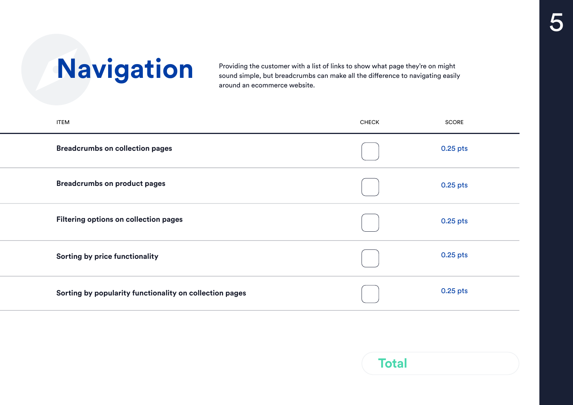**Navigation** Providing the customer with a list of links to show what page they're on might sound simple, but breadcrumbs can make all the difference to navigating easil sound simple, but breadcrumbs can make all the difference to navigating easily around an ecommerce website.

| <b>ITEM</b>                                             | <b>CHECK</b> | <b>SCORE</b> |
|---------------------------------------------------------|--------------|--------------|
| <b>Breadcrumbs on collection pages</b>                  |              | 0.25 pts     |
| <b>Breadcrumbs on product pages</b>                     |              | $0.25$ pts   |
| Filtering options on collection pages                   |              | 0.25 pts     |
| Sorting by price functionality                          |              | 0.25 pts     |
| Sorting by popularity functionality on collection pages |              | $0.25$ pts   |

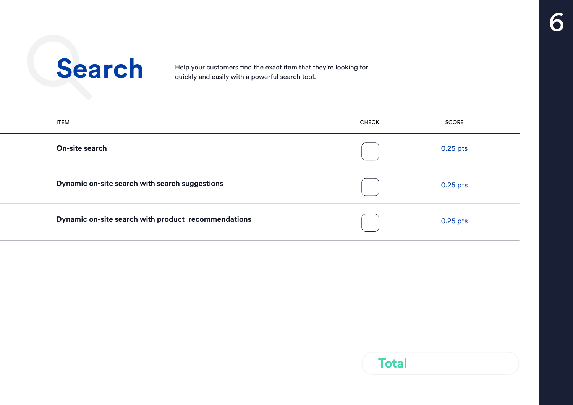Search Help your customers find the exact item that they're looking for<br>quickly and easily with a powerful search tool. quickly and easily with a powerful search tool.

| <b>ITEM</b>    |                                                     | <b>CHECK</b> | <b>SCORE</b> |
|----------------|-----------------------------------------------------|--------------|--------------|
| On-site search |                                                     |              | $0.25$ pts   |
|                | Dynamic on-site search with search suggestions      |              | $0.25$ pts   |
|                | Dynamic on-site search with product recommendations |              | $0.25$ pts   |

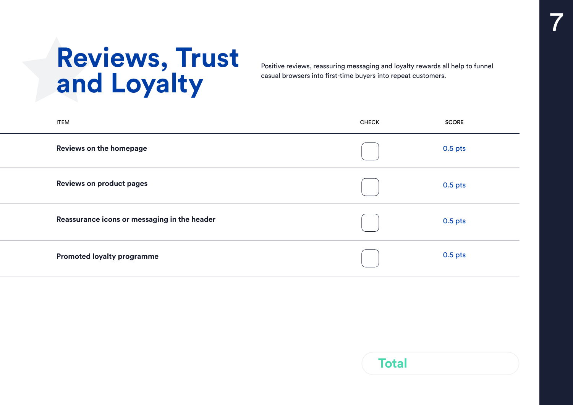## **Reviews, Trust and Loyalty**

Positive reviews, reassuring messaging and loyalty rewards all help to funnel casual browsers into first-time buyers into repeat customers.

7

| <b>ITEM</b>                                  | <b>CHECK</b> | <b>SCORE</b> |
|----------------------------------------------|--------------|--------------|
| Reviews on the homepage                      |              | 0.5 pts      |
| <b>Reviews on product pages</b>              |              | 0.5 pts      |
| Reassurance icons or messaging in the header |              | 0.5 pts      |
| <b>Promoted loyalty programme</b>            |              | 0.5 pts      |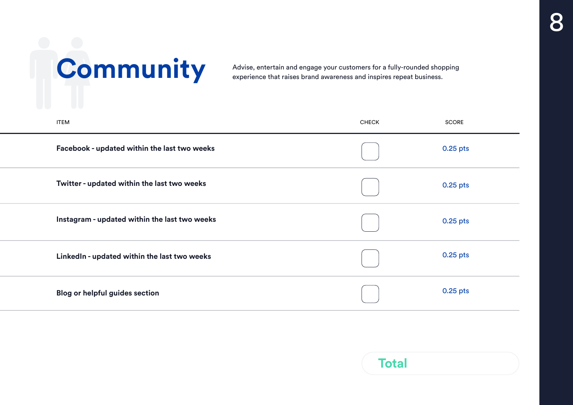# **Community**<br>Advise, entertain and engage your customers for a fully-rounded shopping<br>experience that raises brand awareness and inspires repeat business.

experience that raises brand awareness and inspires repeat business.

| <b>ITEM</b> |                                               | <b>CHECK</b> | <b>SCORE</b> |
|-------------|-----------------------------------------------|--------------|--------------|
|             | Facebook - updated within the last two weeks  |              | $0.25$ pts   |
|             | Twitter - updated within the last two weeks   |              | 0.25 pts     |
|             | Instagram - updated within the last two weeks |              | 0.25 pts     |
|             | LinkedIn - updated within the last two weeks  |              | 0.25 pts     |
|             | <b>Blog or helpful guides section</b>         |              | 0.25 pts     |

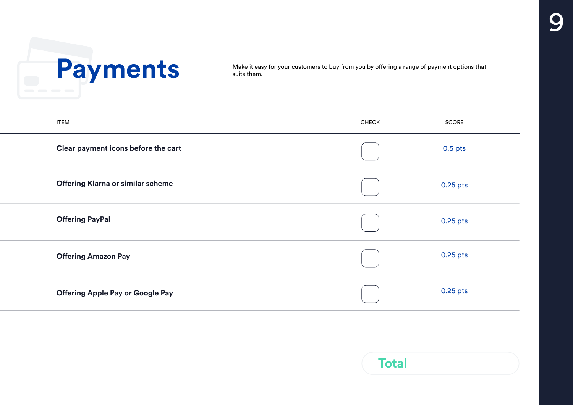

suits them.

| <b>ITEM</b>                              | <b>CHECK</b> | SCORE     |
|------------------------------------------|--------------|-----------|
| Clear payment icons before the cart      |              | $0.5$ pts |
| <b>Offering Klarna or similar scheme</b> |              | 0.25 pts  |
| <b>Offering PayPal</b>                   |              | 0.25 pts  |
| <b>Offering Amazon Pay</b>               |              | 0.25 pts  |
| <b>Offering Apple Pay or Google Pay</b>  |              | 0.25 pts  |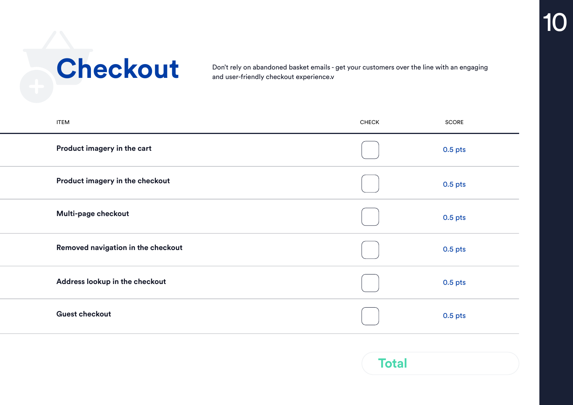**CRECKOUT** Don't rely on abandoned basket emails - get your customers over the line with an engaging<br>and user-friendly checkout experience.v and user-friendly checkout experience.v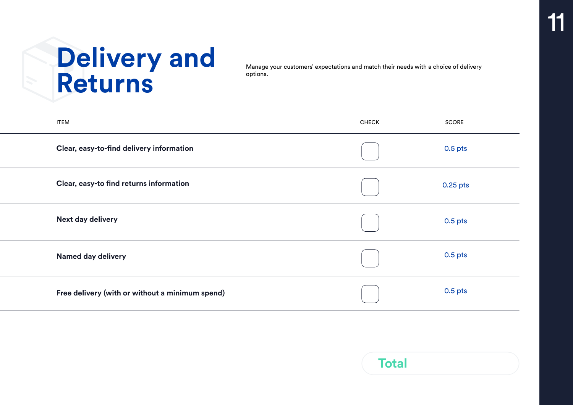## **Delivery and Returns**

Manage your customers' expectations and match their needs with a choice of delivery options.

| <b>ITEM</b>                                     | <b>CHECK</b> | SCORE     |
|-------------------------------------------------|--------------|-----------|
| Clear, easy-to-find delivery information        |              | $0.5$ pts |
| Clear, easy-to find returns information         |              | 0.25 pts  |
| <b>Next day delivery</b>                        |              | $0.5$ pts |
| <b>Named day delivery</b>                       |              | $0.5$ pts |
| Free delivery (with or without a minimum spend) |              | $0.5$ pts |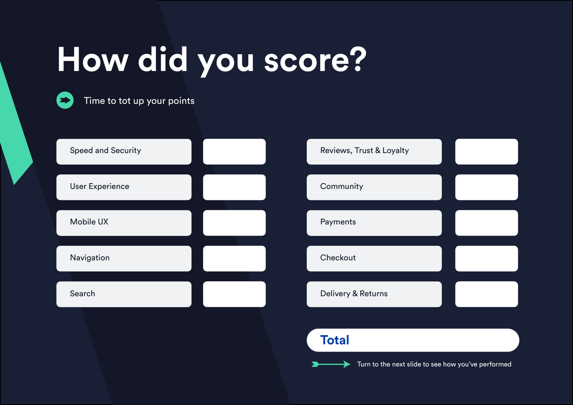## **How did you score?**



Time to tot up your points



▸

Turn to the next slide to see how you've performed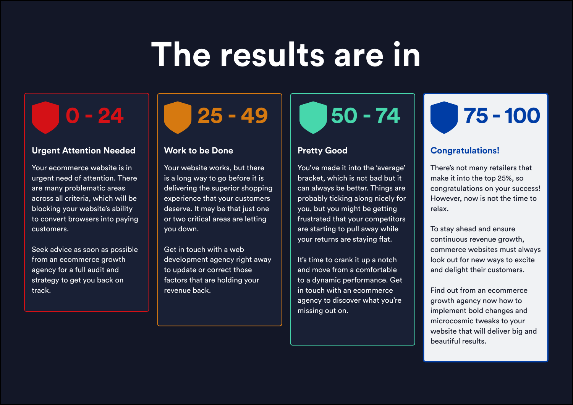## **The results are in**

## **Urgent Attention Needed** | Work to be Done | Pretty Good | Congratulations!

Your ecommerce website is in urgent need of attention. There are many problematic areas across all criteria, which will be blocking your website's ability to convert browsers into paying customers.

Seek advice as soon as possible from an ecommerce growth agency for a full audit and strategy to get you back on track.

Your website works, but there is a long way to go before it is delivering the superior shopping experience that your customers deserve. It may be that just one or two critical areas are letting you down.

Get in touch with a web development agency right away to update or correct those factors that are holding your revenue back.

You've made it into the 'average' bracket, which is not bad but it can always be better. Things are probably ticking along nicely for you, but you might be getting frustrated that your competitors are starting to pull away while your returns are staying flat.

It's time to crank it up a notch and move from a comfortable to a dynamic performance. Get in touch with an ecommerce agency to discover what you're missing out on.

## **0 - 24 25 - 49 50 - 74 75 - 100**

There's not many retailers that make it into the top 25%, so congratulations on your success! However, now is not the time to relax.

To stay ahead and ensure continuous revenue growth, commerce websites must always look out for new ways to excite and delight their customers.

Find out from an ecommerce growth agency now how to implement bold changes and microcosmic tweaks to your website that will deliver big and beautiful results.